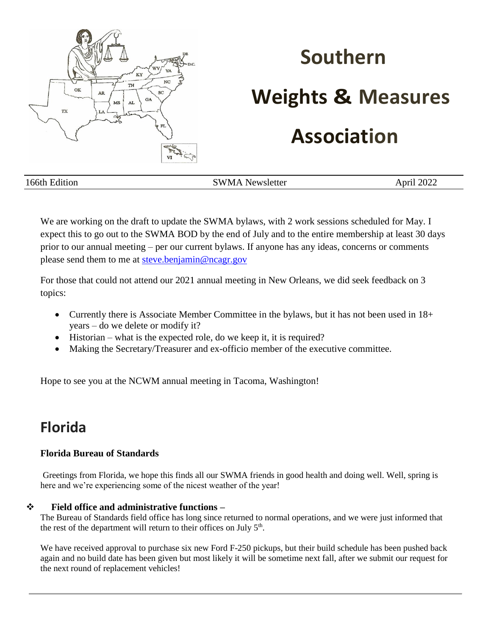

# **Southern**

### **Weights & Measures**

## **Association**

166th Edition SWMA Newsletter April 2022

We are working on the draft to update the SWMA bylaws, with 2 work sessions scheduled for May. I expect this to go out to the SWMA BOD by the end of July and to the entire membership at least 30 days prior to our annual meeting – per our current bylaws. If anyone has any ideas, concerns or comments please send them to me at [steve.benjamin@ncagr.gov](mailto:steve.benjamin@ncagr.gov)

For those that could not attend our 2021 annual meeting in New Orleans, we did seek feedback on 3 topics:

- Currently there is Associate Member Committee in the bylaws, but it has not been used in 18+ years – do we delete or modify it?
- Historian what is the expected role, do we keep it, it is required?
- Making the Secretary/Treasurer and ex-officio member of the executive committee.

Hope to see you at the NCWM annual meeting in Tacoma, Washington!

### **Florida**

### **Florida Bureau of Standards**

Greetings from Florida, we hope this finds all our SWMA friends in good health and doing well. Well, spring is here and we're experiencing some of the nicest weather of the year!

### ❖ **Field office and administrative functions –**

The Bureau of Standards field office has long since returned to normal operations, and we were just informed that the rest of the department will return to their offices on July  $5<sup>th</sup>$ .

We have received approval to purchase six new Ford F-250 pickups, but their build schedule has been pushed back again and no build date has been given but most likely it will be sometime next fall, after we submit our request for the next round of replacement vehicles!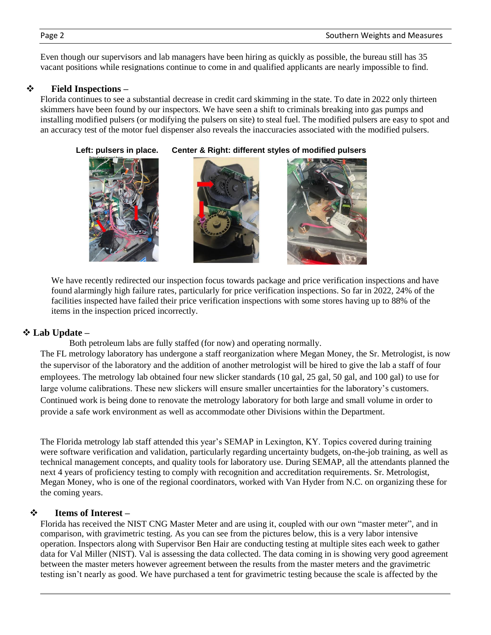Even though our supervisors and lab managers have been hiring as quickly as possible, the bureau still has 35 vacant positions while resignations continue to come in and qualified applicants are nearly impossible to find.

### ❖ **Field Inspections –**

Florida continues to see a substantial decrease in credit card skimming in the state. To date in 2022 only thirteen skimmers have been found by our inspectors. We have seen a shift to criminals breaking into gas pumps and installing modified pulsers (or modifying the pulsers on site) to steal fuel. The modified pulsers are easy to spot and an accuracy test of the motor fuel dispenser also reveals the inaccuracies associated with the modified pulsers.



 **Left: pulsers in place. Center & Right: different styles of modified pulsers** 



We have recently redirected our inspection focus towards package and price verification inspections and have found alarmingly high failure rates, particularly for price verification inspections. So far in 2022, 24% of the facilities inspected have failed their price verification inspections with some stores having up to 88% of the items in the inspection priced incorrectly.

### ❖ **Lab Update –**

Both petroleum labs are fully staffed (for now) and operating normally.

The FL metrology laboratory has undergone a staff reorganization where Megan Money, the Sr. Metrologist, is now the supervisor of the laboratory and the addition of another metrologist will be hired to give the lab a staff of four employees. The metrology lab obtained four new slicker standards (10 gal, 25 gal, 50 gal, and 100 gal) to use for large volume calibrations. These new slickers will ensure smaller uncertainties for the laboratory's customers. Continued work is being done to renovate the metrology laboratory for both large and small volume in order to provide a safe work environment as well as accommodate other Divisions within the Department.

The Florida metrology lab staff attended this year's SEMAP in Lexington, KY. Topics covered during training were software verification and validation, particularly regarding uncertainty budgets, on-the-job training, as well as technical management concepts, and quality tools for laboratory use. During SEMAP, all the attendants planned the next 4 years of proficiency testing to comply with recognition and accreditation requirements. Sr. Metrologist, Megan Money, who is one of the regional coordinators, worked with Van Hyder from N.C. on organizing these for the coming years.

### ❖ **Items of Interest –**

Florida has received the NIST CNG Master Meter and are using it, coupled with our own "master meter", and in comparison, with gravimetric testing. As you can see from the pictures below, this is a very labor intensive operation. Inspectors along with Supervisor Ben Hair are conducting testing at multiple sites each week to gather data for Val Miller (NIST). Val is assessing the data collected. The data coming in is showing very good agreement between the master meters however agreement between the results from the master meters and the gravimetric testing isn't nearly as good. We have purchased a tent for gravimetric testing because the scale is affected by the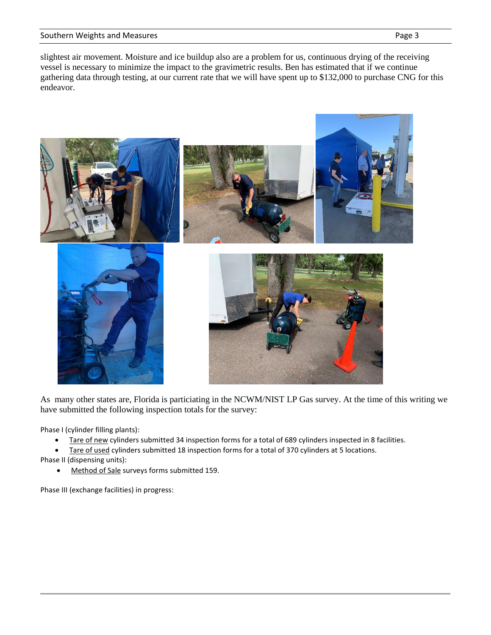#### Southern Weights and Measures **Page 3** and Measures **Page 3** and Page 3

slightest air movement. Moisture and ice buildup also are a problem for us, continuous drying of the receiving vessel is necessary to minimize the impact to the gravimetric results. Ben has estimated that if we continue gathering data through testing, at our current rate that we will have spent up to \$132,000 to purchase CNG for this endeavor.



As many other states are, Florida is particiating in the NCWM/NIST LP Gas survey. At the time of this writing we have submitted the following inspection totals for the survey:

Phase I (cylinder filling plants):

- Tare of new cylinders submitted 34 inspection forms for a total of 689 cylinders inspected in 8 facilities.
- Tare of used cylinders submitted 18 inspection forms for a total of 370 cylinders at 5 locations.
- Phase II (dispensing units):
	- Method of Sale surveys forms submitted 159.

Phase III (exchange facilities) in progress: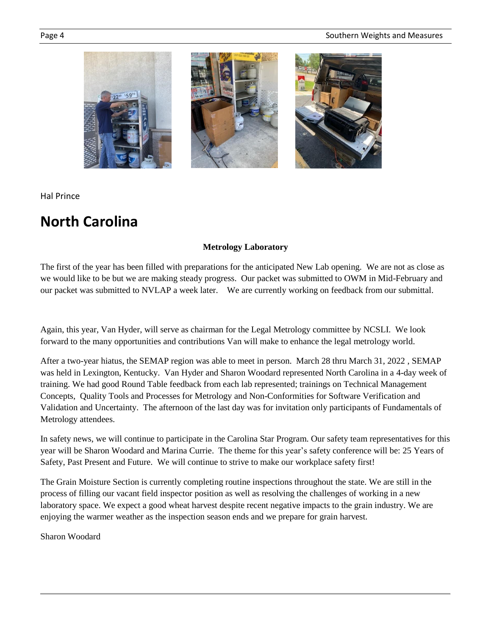

Hal Prince

### **North Carolina**

### **Metrology Laboratory**

The first of the year has been filled with preparations for the anticipated New Lab opening. We are not as close as we would like to be but we are making steady progress. Our packet was submitted to OWM in Mid-February and our packet was submitted to NVLAP a week later. We are currently working on feedback from our submittal.

Again, this year, Van Hyder, will serve as chairman for the Legal Metrology committee by NCSLI. We look forward to the many opportunities and contributions Van will make to enhance the legal metrology world.

After a two-year hiatus, the SEMAP region was able to meet in person. March 28 thru March 31, 2022 , SEMAP was held in Lexington, Kentucky. Van Hyder and Sharon Woodard represented North Carolina in a 4-day week of training. We had good Round Table feedback from each lab represented; trainings on Technical Management Concepts, Quality Tools and Processes for Metrology and Non-Conformities for Software Verification and Validation and Uncertainty. The afternoon of the last day was for invitation only participants of Fundamentals of Metrology attendees.

In safety news, we will continue to participate in the Carolina Star Program. Our safety team representatives for this year will be Sharon Woodard and Marina Currie. The theme for this year's safety conference will be: 25 Years of Safety, Past Present and Future. We will continue to strive to make our workplace safety first!

The Grain Moisture Section is currently completing routine inspections throughout the state. We are still in the process of filling our vacant field inspector position as well as resolving the challenges of working in a new laboratory space. We expect a good wheat harvest despite recent negative impacts to the grain industry. We are enjoying the warmer weather as the inspection season ends and we prepare for grain harvest.

Sharon Woodard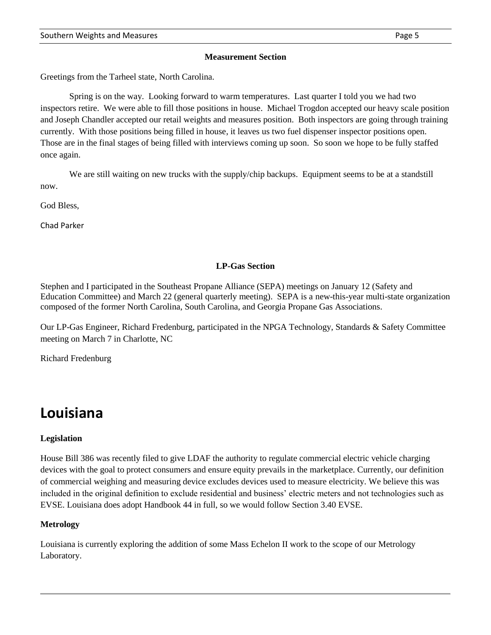#### **Measurement Section**

Greetings from the Tarheel state, North Carolina.

Spring is on the way. Looking forward to warm temperatures. Last quarter I told you we had two inspectors retire. We were able to fill those positions in house. Michael Trogdon accepted our heavy scale position and Joseph Chandler accepted our retail weights and measures position. Both inspectors are going through training currently. With those positions being filled in house, it leaves us two fuel dispenser inspector positions open. Those are in the final stages of being filled with interviews coming up soon. So soon we hope to be fully staffed once again.

We are still waiting on new trucks with the supply/chip backups. Equipment seems to be at a standstill now.

God Bless,

Chad Parker

### **LP-Gas Section**

Stephen and I participated in the Southeast Propane Alliance (SEPA) meetings on January 12 (Safety and Education Committee) and March 22 (general quarterly meeting). SEPA is a new-this-year multi-state organization composed of the former North Carolina, South Carolina, and Georgia Propane Gas Associations.

Our LP-Gas Engineer, Richard Fredenburg, participated in the NPGA Technology, Standards & Safety Committee meeting on March 7 in Charlotte, NC

Richard Fredenburg

### **Louisiana**

#### **Legislation**

House Bill 386 was recently filed to give LDAF the authority to regulate commercial electric vehicle charging devices with the goal to protect consumers and ensure equity prevails in the marketplace. Currently, our definition of commercial weighing and measuring device excludes devices used to measure electricity. We believe this was included in the original definition to exclude residential and business' electric meters and not technologies such as EVSE. Louisiana does adopt Handbook 44 in full, so we would follow Section 3.40 EVSE.

#### **Metrology**

Louisiana is currently exploring the addition of some Mass Echelon II work to the scope of our Metrology Laboratory.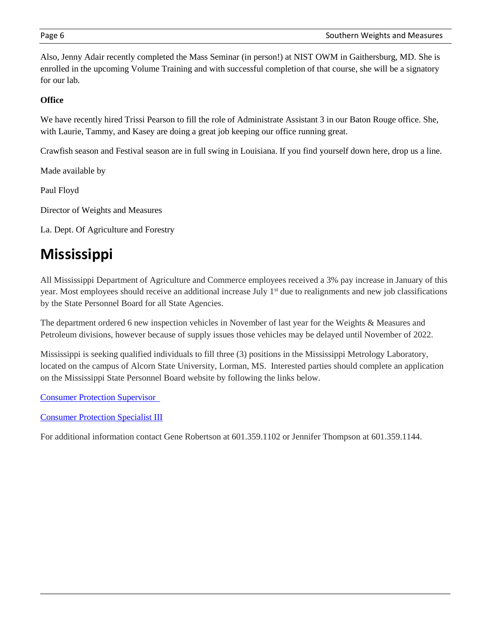Also, Jenny Adair recently completed the Mass Seminar (in person!) at NIST OWM in Gaithersburg, MD. She is enrolled in the upcoming Volume Training and with successful completion of that course, she will be a signatory for our lab.

### **Office**

We have recently hired Trissi Pearson to fill the role of Administrate Assistant 3 in our Baton Rouge office. She, with Laurie, Tammy, and Kasey are doing a great job keeping our office running great.

Crawfish season and Festival season are in full swing in Louisiana. If you find yourself down here, drop us a line.

Made available by

Paul Floyd

Director of Weights and Measures

La. Dept. Of Agriculture and Forestry

### **Mississippi**

All Mississippi Department of Agriculture and Commerce employees received a 3% pay increase in January of this year. Most employees should receive an additional increase July 1<sup>st</sup> due to realignments and new job classifications by the State Personnel Board for all State Agencies.

The department ordered 6 new inspection vehicles in November of last year for the Weights & Measures and Petroleum divisions, however because of supply issues those vehicles may be delayed until November of 2022.

Mississippi is seeking qualified individuals to fill three (3) positions in the Mississippi Metrology Laboratory, located on the campus of Alcorn State University, Lorman, MS. Interested parties should complete an application on the Mississippi State Personnel Board website by following the links below.

[Consumer Protection Supervisor](https://urldefense.com/v3/__https:/www.governmentjobs.com/careers/mississippi/jobs/3489520-0/consumer-protection-supervisor__;!!HYmSToo!JLU-F6dw3xYrry_sb4ZldPxCdjX928b48QmblRdsUzyi2dv39nxil8kPS37PRDHY7AnnzA$)

[Consumer Protection Specialist III](https://urldefense.com/v3/__https:/www.governmentjobs.com/careers/mississippi/jobs/3485616/consumer-protection-specialist-iii__;!!HYmSToo!JLU-F6dw3xYrry_sb4ZldPxCdjX928b48QmblRdsUzyi2dv39nxil8kPS37PRDH0MF2K9g$)

For additional information contact Gene Robertson at 601.359.1102 or Jennifer Thompson at 601.359.1144.